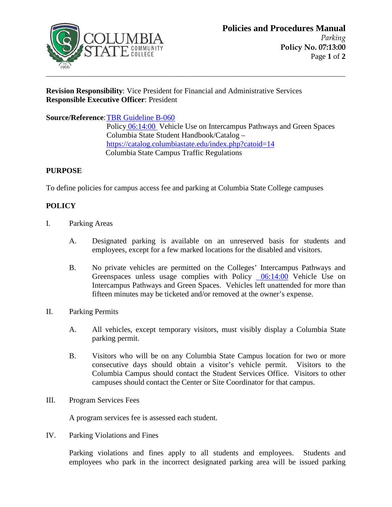

## **Revision Responsibility**: Vice President for Financial and Administrative Services **Responsible Executive Officer**: President

**Source/Reference**[: TBR Guideline B-060](https://policies.tbr.edu/guidelines/fees-charges-refunds-and-fee-adjustments) Polic[y 06:14:00](https://www.columbiastate.edu/policies-procedures/documents20/06-safety-security/06-14-00---Vehicle-Use-on-Intercampus-Pathways-and-Green-Spaces-Accessible.pdf) Vehicle Use on Intercampus Pathways and Green Spaces Columbia State Student Handbook/Catalog – <https://catalog.columbiastate.edu/index.php?catoid=14> Columbia State Campus Traffic Regulations

## **PURPOSE**

To define policies for campus access fee and parking at Columbia State College campuses

## **POLICY**

- I. Parking Areas
	- A. Designated parking is available on an unreserved basis for students and employees, except for a few marked locations for the disabled and visitors.
	- B. No private vehicles are permitted on the Colleges' Intercampus Pathways and Greenspaces unless usage complies with Policy [06:14:00](https://www.columbiastate.edu/policies-procedures/documents20/06-safety-security/06-14-00---Vehicle-Use-on-Intercampus-Pathways-and-Green-Spaces-Accessible.pdf) Vehicle Use on Intercampus Pathways and Green Spaces. Vehicles left unattended for more than fifteen minutes may be ticketed and/or removed at the owner's expense.
- II. Parking Permits
	- A. All vehicles, except temporary visitors, must visibly display a Columbia State parking permit.
	- B. Visitors who will be on any Columbia State Campus location for two or more consecutive days should obtain a visitor's vehicle permit. Visitors to the Columbia Campus should contact the Student Services Office. Visitors to other campuses should contact the Center or Site Coordinator for that campus.
- III. Program Services Fees

A program services fee is assessed each student.

IV. Parking Violations and Fines

Parking violations and fines apply to all students and employees. Students and employees who park in the incorrect designated parking area will be issued parking